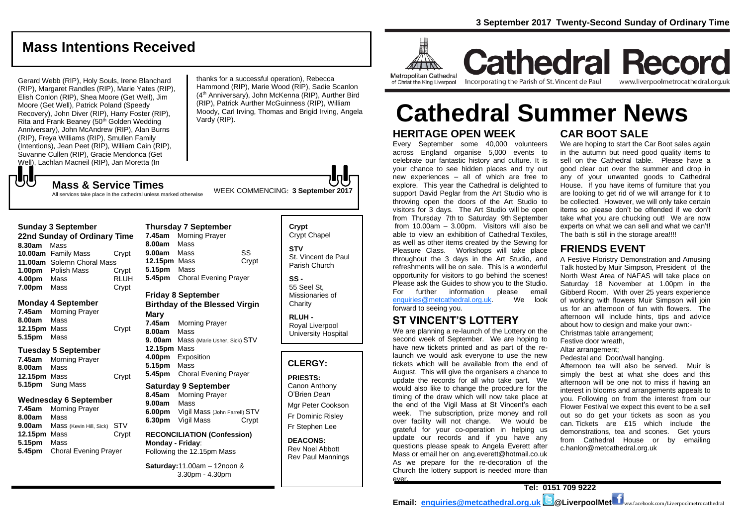# **Mass Intentions Received**

Gerard Webb (RIP), Holy Souls, Irene Blanchard (RIP), Margaret Randles (RIP), Marie Yates (RIP), Elish Conlon (RIP), Shea Moore (Get Well), Jim Moore (Get Well), Patrick Poland (Speedy Recovery), John Diver (RIP), Harry Foster (RIP), Rita and Frank Beaney (50th Golden Wedding Anniversary), John McAndrew (RIP), Alan Burns (RIP), Freya Williams (RIP), Smullen Family (Intentions), Jean Peet (RIP), William Cain (RIP), Suvanne Cullen (RIP), Gracie Mendonca (Get Well), Lachlan Macneil (RIP), Jan Moretta (In

thanks for a successful operation), Rebecca Hammond (RIP), Marie Wood (RIP), Sadie Scanlon (4<sup>th</sup> Anniversary), John McKenna (RIP), Aurther Bird (RIP), Patrick Aurther McGuinness (RIP), William Moody, Carl Irving, Thomas and Brigid Irving, Angela Vardy (RIP).

WEEK COMMENCING: **3 September <sup>2017</sup> Mass & Service Times** All services take place in the cathedral unless marked otherwise

Crypt

#### **Sunday 3 September**

でし

| 22nd Sunday of Ordinary Time |                            |             |  |  |
|------------------------------|----------------------------|-------------|--|--|
| 8.30am                       | Mass                       |             |  |  |
|                              | 10.00am Family Mass        | Crypt       |  |  |
|                              | 11.00am Solemn Choral Mass |             |  |  |
|                              | <b>1.00pm</b> Polish Mass  | Crypt       |  |  |
| 4.00pm                       | Mass                       | <b>RLUH</b> |  |  |
| 7.00pm                       | Mass                       | Crypt       |  |  |

### **Monday 4 September**

| 7.45am       | <b>Morning Prayer</b> |
|--------------|-----------------------|
| 8.00am       | Mass                  |
| 12.15pm Mass |                       |
| 5.15pm Mass  |                       |

### **Tuesday 5 September**

| 7.45am       | <b>Morning Prayer</b> |       |
|--------------|-----------------------|-------|
| 8.00am       | Mass                  |       |
| 12.15pm Mass |                       | Crypt |
|              | 5.15pm Sung Mass      |       |

### **Wednesday 6 September**

**7.45am** Morning Prayer **8.00am** Mass **9.00am** Mass (Kevin Hill, Sick) STV **12.15pm** Mass Crypt **5.15pm** Mass **5.45pm** Choral Evening Prayer

### **Thursday 7 September 7.45am** Morning Prayer **8.00am** Mass **9.00am** Mass SS **12.15pm** Mass Crypt **5.15pm** Mass **5.45pm** Choral Evening Prayer

## **Friday 8 September Birthday of the Blessed Virgin**

**Mary 7.45am** Morning Prayer **8.00am** Mass **9. 00am** Mass (Marie Usher, Sick) STV **12.15pm** Mass **4.00pm** Exposition **5.15pm** Mass **5.45pm** Choral Evening Prayer

### **Saturday 9 September**

**8.45am** Morning Prayer **9.00am** Mass **6.00pm** Vigil Mass (John Farrell) STV **6.30pm** Vigil Mass Crypt

**RECONCILIATION (Confession) Monday - Friday**: Following the 12.15pm Mass

**Saturday:**11.00am – 12noon & 3.30pm - 4.30pm

### **Crypt**  Crypt Chapel **STV** St. Vincent de Paul

Parish Church

**SS -** 55 Seel St,

Missionaries of **Charity** 

**RLUH -** Royal Liverpool University Hospital

### **CLERGY:**

**PRIESTS:** Canon Anthony O'Brien *Dean*

Mgr Peter Cookson Fr Dominic Risley Fr Stephen Lee

**DEACONS:** Rev Noel Abbott Rev Paul Mannings



### **Metropolitan Cathedral** of Christ the King Liverpool

Incorporating the Parish of St. Vincent de Paul

**Cathedral Record** www.liverpoolmetrocathedral.org.uk

# **HERITAGE OPEN WEEK CAR BOOT SALE Cathedral Summer News**

Every September some 40,000 volunteers across England organise 5,000 events to celebrate our fantastic history and culture. It is your chance to see hidden places and try out new experiences – all of which are free to explore. This year the Cathedral is delighted to support David Peglar from the Art Studio who is throwing open the doors of the Art Studio to visitors for 3 days. The Art Studio will be open from Thursday 7th to Saturday 9th September from 10.00am – 3.00pm. Visitors will also be able to view an exhibition of Cathedral Textiles, as well as other items created by the Sewing for Pleasure Class. Workshops will take place throughout the 3 days in the Art Studio, and refreshments will be on sale. This is a wonderful opportunity for visitors to go behind the scenes! Please ask the Guides to show you to the Studio. For further information please email<br>enquiries@metcathedral.org.uk We look  $enquiries@metcathedral.org.uk.$ forward to seeing you.

## **ST VINCENT'S LOTTERY**

We are planning a re-launch of the Lottery on the second week of September. We are hoping to have new tickets printed and as part of the relaunch we would ask everyone to use the new tickets which will be available from the end of August. This will give the organisers a chance to update the records for all who take part. We would also like to change the procedure for the timing of the draw which will now take place at the end of the Vigil Mass at St Vincent's each week. The subscription, prize money and roll over facility will not change. We would be grateful for your co-operation in helping us update our records and if you have any questions please speak to Angela Everett after Mass or email her on ang.everett@hotmail.co.uk As we prepare for the re-decoration of the Church the lottery support is needed more than ever.

We are hoping to start the Car Boot sales again in the autumn but need good quality items to sell on the Cathedral table. Please have a good clear out over the summer and drop in any of your unwanted goods to Cathedral House. If you have items of furniture that you are looking to get rid of we will arrange for it to be collected. However, we will only take certain items so please don't be offended if we don't take what you are chucking out! We are now experts on what we can sell and what we can't! The bath is still in the storage area!!!!

## **FRIENDS EVENT**

A Festive Floristry Demonstration and Amusing Talk hosted by Muir Simpson, President of the North West Area of NAFAS will take place on Saturday 18 November at 1.00pm in the Gibberd Room. With over 25 years experience of working with flowers Muir Simpson will join us for an afternoon of fun with flowers. The afternoon will include hints, tips and advice about how to design and make your own:- Christmas table arrangement; Festive door wreath,

Altar arrangement;

Pedestal and Door/wall hanging.

Afternoon tea will also be served. Muir is simply the best at what she does and this afternoon will be one not to miss if having an interest in blooms and arrangements appeals to you. Following on from the interest from our Flower Festival we expect this event to be a sell out so do get your tickets as soon as you can. Tickets are £15 which include the demonstrations, tea and scones. Get yours from Cathedral House or by emailing c.hanlon@metcathedral.org.uk